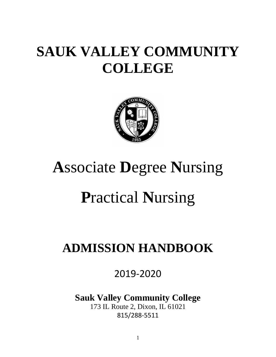# **SAUK VALLEY COMMUNITY COLLEGE**



# **A**ssociate **D**egree **N**ursing

# **P**ractical **N**ursing

# **ADMISSION HANDBOOK**

2019-2020

**Sauk Valley Community College**

173 IL Route 2, Dixon, IL 61021 815/288-5511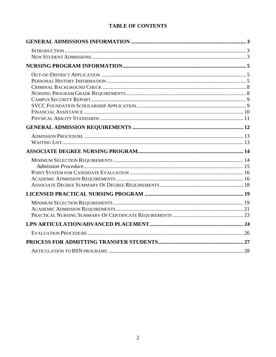# **TABLE OF CONTENTS**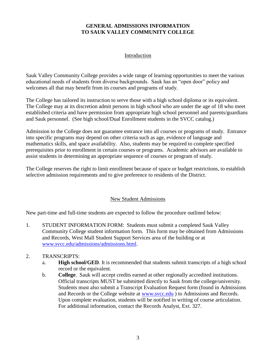# **GENERAL ADMISSIONS INFORMATION TO SAUK VALLEY COMMUNITY COLLEGE**

#### Introduction

<span id="page-2-1"></span><span id="page-2-0"></span>Sauk Valley Community College provides a wide range of learning opportunities to meet the various educational needs of students from diverse backgrounds. Sauk has an "open door" policy and welcomes all that may benefit from its courses and programs of study.

The College has tailored its instruction to serve those with a high school diploma or its equivalent. The College may at its discretion admit persons in high school who are under the age of 18 who meet established criteria and have permission from appropriate high school personnel and parents/guardians and Sauk personnel. (See high school/Dual Enrollment students in the SVCC catalog.)

Admission to the College does not guarantee entrance into all courses or programs of study. Entrance into specific programs may depend on other criteria such as age, evidence of language and mathematics skills, and space availability. Also, students may be required to complete specified prerequisites prior to enrollment in certain courses or programs. Academic advisors are available to assist students in determining an appropriate sequence of courses or program of study.

The College reserves the right to limit enrollment because of space or budget restrictions, to establish selective admission requirements and to give preference to residents of the District.

### New Student Admissions

<span id="page-2-2"></span>New part-time and full-time students are expected to follow the procedure outlined below:

1. STUDENT INFORMATION FORM: Students must submit a completed Sauk Valley Community College student information form. This form may be obtained from Admissions and Records, West Mall Student Support Services area of the building or at [www.svcc.edu/admissions/admissions.html.](http://www.svcc.edu/admissions/admissions.html)

### 2. TRANSCRIPTS:

- a. **High school/GED**. It is recommended that students submit transcripts of a high school record or the equivalent.
- b. **College**. Sauk will accept credits earned at other regionally accredited institutions. Official transcripts MUST be submitted directly to Sauk from the college/university. Students must also submit a Transcript Evaluation Request form (found in Admissions and Records or the College website at [www.svcc.edu](http://www.svcc.edu/) ) to Admissions and Records. Upon complete evaluation, students will be notified in writing of course articulation. For additional information, contact the Records Analyst, Ext. 327.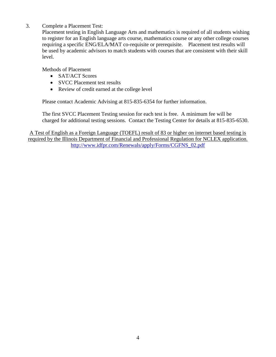3. Complete a Placement Test:

Placement testing in English Language Arts and mathematics is required of all students wishing to register for an English language arts course, mathematics course or any other college courses requiring a specific ENG/ELA/MAT co-requisite or prerequisite. Placement test results will be used by academic advisors to match students with courses that are consistent with their skill level.

Methods of Placement

- SAT/ACT Scores
- SVCC Placement test results
- <span id="page-3-0"></span>• Review of credit earned at the college level

Please contact Academic Advising at 815-835-6354 for further information.

The first SVCC Placement Testing session for each test is free. A minimum fee will be charged for additional testing sessions. Contact the Testing Center for details at 815-835-6530.

A Test of English as a Foreign Language (TOEFL) result of 83 or higher on internet based testing is required by the Illinois Department of Financial and Professional Regulation for NCLEX application. [http://www.idfpr.com/Renewals/apply/Forms/CGFNS\\_02.pdf](http://www.idfpr.com/Renewals/apply/Forms/CGFNS_02.pdf)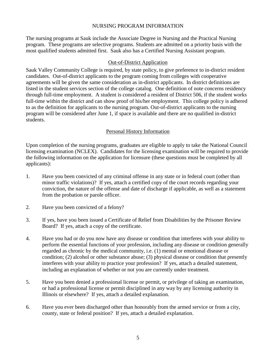#### NURSING PROGRAM INFORMATION

The nursing programs at Sauk include the Associate Degree in Nursing and the Practical Nursing program. These programs are selective programs. Students are admitted on a priority basis with the most qualified students admitted first. Sauk also has a Certified Nursing Assistant program.

#### Out-of-District Application

<span id="page-4-0"></span>Sauk Valley Community College is required, by state policy, to give preference to in-district resident candidates. Out-of-district applicants to the program coming from colleges with cooperative agreements will be given the same consideration as in-district applicants. In district definitions are listed in the student services section of the college catalog. One definition of note concerns residency through full-time employment. A student is considered a resident of District 506, if the student works full-time within the district and can show proof of his/her employment. This college policy is adhered to as the definition for applicants to the nursing program. Out-of-district applicants to the nursing program will be considered after June 1, if space is available and there are no qualified in-district students.

### Personal History Information

<span id="page-4-1"></span>Upon completion of the nursing programs, graduates are eligible to apply to take the National Council licensing examination (NCLEX). Candidates for the licensing examination will be required to provide the following information on the application for licensure (these questions must be completed by all applicants):

- 1. Have you been convicted of any criminal offense in any state or in federal court (other than minor traffic violations)? If yes, attach a certified copy of the court records regarding your conviction, the nature of the offense and date of discharge if applicable, as well as a statement from the probation or parole officer.
- 2. Have you been convicted of a felony?
- 3. If yes, have you been issued a Certificate of Relief from Disabilities by the Prisoner Review Board? If yes, attach a copy of the certificate.
- 4. Have you had or do you now have any disease or condition that interferes with your ability to perform the essential functions of your profession, including any disease or condition generally regarded as chronic by the medical community, i.e. (1) mental or emotional disease or condition; (2) alcohol or other substance abuse; (3) physical disease or condition that presently interferes with your ability to practice your profession? If yes, attach a detailed statement, including an explanation of whether or not you are currently under treatment.
- 5. Have you been denied a professional license or permit, or privilege of taking an examination, or had a professional license or permit disciplined in any way by any licensing authority in Illinois or elsewhere? If yes, attach a detailed explanation.
- 6. Have you ever been discharged other than honorably from the armed service or from a city, county, state or federal position? If yes, attach a detailed explanation.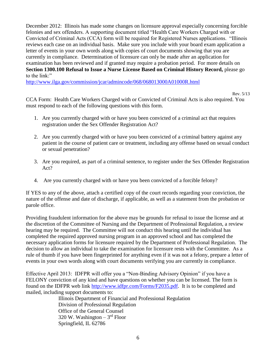December 2012: Illinois has made some changes on licensure approval especially concerning forcible felonies and sex offenders. A supporting document titled "Health Care Workers Charged with or Convicted of Criminal Acts (CCA) form will be required for Registered Nurses applications. "Illinois reviews each case on an individual basis. Make sure you include with your board exam application a letter of events in your own words along with copies of court documents showing that you are currently in compliance. Determination of licensure can only be made after an application for examination has been reviewed and if granted may require a probation period. For more details on **Section 1300.100 Refusal to Issue a Nurse License Based on Criminal History Record,** please go to the link:"

<http://www.ilga.gov/commission/jcar/admincode/068/068013000A01000R.html>

Rev. 5/13

CCA Form: Health Care Workers Charged with or Convicted of Criminal Acts is also required. You must respond to each of the following questions with this form.

- 1. Are you currently charged with or have you been convicted of a criminal act that requires registration under the Sex Offender Registration Act?
- 2. Are you currently charged with or have you been convicted of a criminal battery against any patient in the course of patient care or treatment, including any offense based on sexual conduct or sexual penetration?
- 3. Are you required, as part of a criminal sentence, to register under the Sex Offender Registration Act?
- 4. Are you currently charged with or have you been convicted of a forcible felony?

If YES to any of the above, attach a certified copy of the court records regarding your conviction, the nature of the offense and date of discharge, if applicable, as well as a statement from the probation or parole office.

Providing fraudulent information for the above may be grounds for refusal to issue the license and at the discretion of the Committee of Nursing and the Department of Professional Regulation, a review hearing may be required. The Committee will not conduct this hearing until the individual has completed the required approved nursing program in an approved school and has completed the necessary application forms for licensure required by the Department of Professional Regulation. The decision to allow an individual to take the examination for licensure rests with the Committee. As a rule of thumb if you have been fingerprinted for anything even if it was not a felony, prepare a letter of events in your own words along with court documents verifying you are currently in compliance.

Effective April 2013: IDFPR will offer you a "Non-Binding Advisory Opinion" if you have a FELONY conviction of any kind and have questions on whether you can be licensed. The form is found on the IDFPR web link [http://www.idfpr.com/Forms/F2035.pdf.](http://www.idfpr.com/Forms/F2035.pdf) It is to be completed and mailed, including support documents to:

> Illinois Department of Financial and Professional Regulation Division of Professional Regulation Office of the General Counsel 320 W. Washington  $-3<sup>rd</sup>$  Floor Springfield, IL 62786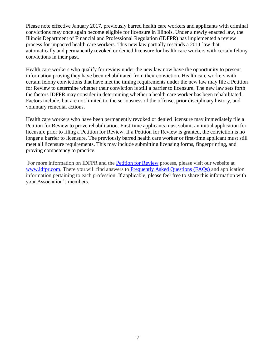Please note effective January 2017, previously barred health care workers and applicants with criminal convictions may once again become eligible for licensure in Illinois. Under a newly enacted law, the Illinois Department of Financial and Professional Regulation (IDFPR) has implemented a review process for impacted health care workers. This new law partially rescinds a 2011 law that automatically and permanently revoked or denied licensure for health care workers with certain felony convictions in their past.

Health care workers who qualify for review under the new law now have the opportunity to present information proving they have been rehabilitated from their conviction. Health care workers with certain felony convictions that have met the timing requirements under the new law may file a Petition for Review to determine whether their conviction is still a barrier to licensure. The new law sets forth the factors IDFPR may consider in determining whether a health care worker has been rehabilitated. Factors include, but are not limited to, the seriousness of the offense, prior disciplinary history, and voluntary remedial actions.

Health care workers who have been permanently revoked or denied licensure may immediately file a Petition for Review to prove rehabilitation. First-time applicants must submit an initial application for licensure prior to filing a Petition for Review. If a Petition for Review is granted, the conviction is no longer a barrier to licensure. The previously barred health care worker or first-time applicant must still meet all licensure requirements. This may include submitting licensing forms, fingerprinting, and proving competency to practice.

For more information on IDFPR and the [Petition for Review](http://www.idfpr.com/Renewals/apply/Forms/F2306.pdf) process, please visit our website at [www.idfpr.com.](http://www.idfpr.com/) There you will find answers to [Frequently Asked Questions \(FAQs\) a](http://www.idfpr.com/About/FAQ.asp)nd application information pertaining to each profession. If applicable, please feel free to share this information with your Association's members.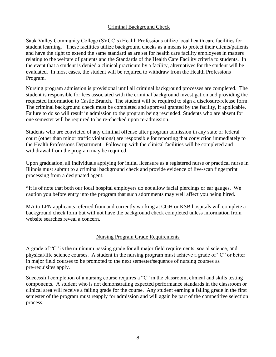### <span id="page-7-0"></span>Criminal Background Check

Sauk Valley Community College (SVCC's) Health Professions utilize local health care facilities for student learning. These facilities utilize background checks as a means to protect their clients/patients and have the right to extend the same standard as are set for health care facility employees in matters relating to the welfare of patients and the Standards of the Health Care Facility criteria to students. In the event that a student is denied a clinical practicum by a facility, alternatives for the student will be evaluated. In most cases, the student will be required to withdraw from the Health Professions Program.

Nursing program admission is provisional until all criminal background processes are completed. The student is responsible for fees associated with the criminal background investigation and providing the requested information to Castle Branch. The student will be required to sign a disclosure/release form. The criminal background check must be completed and approval granted by the facility, if applicable. Failure to do so will result in admission to the program being rescinded. Students who are absent for one semester will be required to be re-checked upon re-admission.

Students who are convicted of any criminal offense after program admission in any state or federal court (other than minor traffic violations) are responsible for reporting that conviction immediately to the Health Professions Department. Follow up with the clinical facilities will be completed and withdrawal from the program may be required.

Upon graduation, all individuals applying for initial licensure as a registered nurse or practical nurse in Illinois must submit to a criminal background check and provide evidence of live-scan fingerprint processing from a designated agent.

\*It is of note that both our local hospital employers do not allow facial piercings or ear gauges. We caution you before entry into the program that such adornments may well affect you being hired.

MA to LPN applicants referred from and currently working at CGH or KSB hospitals will complete a background check form but will not have the background check completed unless information from website searches reveal a concern.

### Nursing Program Grade Requirements

<span id="page-7-1"></span>A grade of "C" is the minimum passing grade for all major field requirements, social science, and physical/life science courses. A student in the nursing program must achieve a grade of "C" or better in major field courses to be promoted to the next semester/sequence of nursing courses as pre-requisites apply.

Successful completion of a nursing course requires a "C" in the classroom, clinical and skills testing components. A student who is not demonstrating expected performance standards in the classroom or clinical area will receive a failing grade for the course. Any student earning a failing grade in the first semester of the program must reapply for admission and will again be part of the competitive selection process.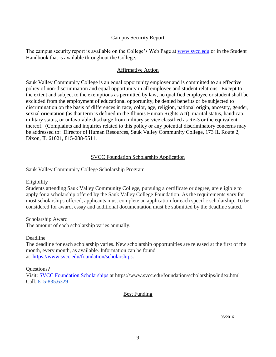#### Campus Security Report

<span id="page-8-0"></span>The campus security report is available on the College's Web Page at [www.svcc.edu](http://www.svcc.edu/) or in the Student Handbook that is available throughout the College.

#### Affirmative Action

Sauk Valley Community College is an equal opportunity employer and is committed to an effective policy of non-discrimination and equal opportunity in all employee and student relations. Except to the extent and subject to the exemptions as permitted by law, no qualified employee or student shall be excluded from the employment of educational opportunity, be denied benefits or be subjected to discrimination on the basis of differences in race, color, age, religion, national origin, ancestry, gender, sexual orientation (as that term is defined in the Illinois Human Rights Act), marital status, handicap, military status, or unfavorable discharge from military service classified as Re-3 or the equivalent thereof. (Complaints and inquiries related to this policy or any potential discriminatory concerns may be addressed to: Director of Human Resources, Sauk Valley Community College, 173 IL Route 2, Dixon, IL 61021, 815-288-5511.

### SVCC Foundation Scholarship Application

<span id="page-8-1"></span>Sauk Valley Community College Scholarship Program

Eligibility

Students attending Sauk Valley Community College, pursuing a certificate or degree, are eligible to apply for a scholarship offered by the Sauk Valley College Foundation. As the requirements vary for most scholarships offered, applicants must complete an application for each specific scholarship. To be considered for award, essay and additional documentation must be submitted by the deadline stated.

Scholarship Award The amount of each scholarship varies annually.

Deadline

The deadline for each scholarship varies. New scholarship opportunities are released at the first of the month, every month, as available. Information can be found at [https://www.svcc.edu/foundation/scholarships.](https://www.svcc.edu/foundation/scholarships)

Questions?

Visit: [SVCC Foundation Scholarships](https://www.svcc.edu/foundation/scholarships/index.html) at https://www.svcc.edu/foundation/scholarships/index.html Call: 815-835.6329

#### Best Funding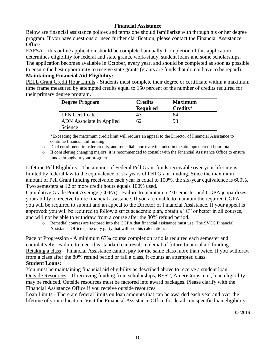# **Financial Assistance**

<span id="page-9-0"></span>Below are financial assistance polices and terms one should familiarize with through his or her degree program. If you have questions or need further clarification, please contact the Financial Assistance Office.

FAFSA – this online application should be completed annually. Completion of this application determines eligibility for federal and state grants, work-study, student loans and some scholarships. The application becomes available in October, every year, and should be completed as soon as possible to ensure the best opportunity to receive state grants (grants are funds that do not have to be repaid). **Maintaining Financial Aid Eligibility:**

PELL Grant Credit Hour Limits - Students must complete their degree or certificate within a maximum time frame measured by attempted credits equal to 150 percent of the number of credits required for their primary degree program.

| <b>Degree Program</b>           | <b>Credits</b><br><b>Required</b> | <b>Maximum</b><br>Credits* |
|---------------------------------|-----------------------------------|----------------------------|
| <b>LPN</b> Certificate          |                                   | 64                         |
| <b>ADN</b> Associate in Applied | 62                                | 93                         |
| Science                         |                                   |                            |

\*Exceeding the maximum credit limit will require an appeal to the Director of Financial Assistance to continue financial aid funding.

- o Dual enrollment, transfer credits, and remedial course are included in the attempted credit hour total.
- o If considering changing majors, it is recommended to consult with the Financial Assistance Office to ensure funds throughout your program.

Lifetime Pell Eligibility - The amount of Federal Pell Grant funds receivable over your lifetime is limited by federal law to the equivalence of six years of Pell Grant funding. Since the maximum amount of Pell Grant funding receivable each year is equal to 100%, the six-year equivalence is 600%. Two semesters at 12 or more credit hours equals 100% used.

Cumulative Grade Point Average (CGPA) - Failure to maintain a 2.0 semester and CGPA jeopardizes your ability to receive future financial assistance. If you are unable to maintain the required CGPA, you will be required to submit and an appeal to the Director of Financial Assistance. If your appeal is approved: you will be required to follow a strict academic plan, obtain a "C" or better in all courses, and will not be able to withdraw from a course after the 80% refund period.

o Remedial courses are factored into the CGPA that financial assistance must use. The SVCC Financial Assistance Office is the only party that will see this calculation.

Pace of Progression - A minimum 67% course completion ratio is required each semester and cumulatively. Failure to meet this standard can result in denial of future financial aid funding. Retaking a class – Financial Assistance cannot pay for the same class more than twice. If you withdraw from a class after the 80% refund period or fail a class, it counts an attempted class.

### **Student Loans:**

You must be maintaining financial aid eligibility as described above to receive a student loan. Outside Resources – If receiving funding from scholarships, BEST, AmeriCorps, etc., loan eligibility may be reduced. Outside resources must be factored into award packages. Please clarify with the Financial Assistance Office if you receive outside resources.

Loan Limits - There are federal limits on loan amounts that can be awarded each year and over the lifetime of your education. Visit the Financial Assistance Office for details on specific loan eligibility.

05/2016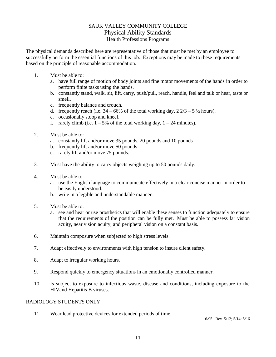# SAUK VALLEY COMMUNITY COLLEGE Physical Ability Standards Health Professions Programs

<span id="page-10-0"></span>The physical demands described here are representative of those that must be met by an employee to successfully perform the essential functions of this job. Exceptions may be made to these requirements based on the principle of reasonable accommodation.

- 1. Must be able to:
	- a. have full range of motion of body joints and fine motor movements of the hands in order to perform finite tasks using the hands.
	- b. constantly stand, walk, sit, lift, carry, push/pull, reach, handle, feel and talk or hear, taste or smell.
	- c. frequently balance and crouch.
	- d. frequently reach (i.e.  $34 66\%$  of the total working day,  $2\frac{2}{3} 5\frac{1}{2}$  hours).
	- e. occasionally stoop and kneel.
	- f. rarely climb (i.e.  $1 5\%$  of the total working day,  $1 24$  minutes).
- 2. Must be able to:
	- a. constantly lift and/or move 35 pounds, 20 pounds and 10 pounds
	- b. frequently lift and/or move 50 pounds
	- c. rarely lift and/or move 75 pounds.
- 3. Must have the ability to carry objects weighing up to 50 pounds daily.
- 4. Must be able to:
	- a. use the English language to communicate effectively in a clear concise manner in order to be easily understood.
	- b. write in a legible and understandable manner.
- 5. Must be able to:
	- a. see and hear or use prosthetics that will enable these senses to function adequately to ensure that the requirements of the position can be fully met. Must be able to possess far vision acuity, near vision acuity, and peripheral vision on a constant basis.
- 6. Maintain composure when subjected to high stress levels.
- 7. Adapt effectively to environments with high tension to insure client safety.
- 8. Adapt to irregular working hours.
- 9. Respond quickly to emergency situations in an emotionally controlled manner.
- 10. Is subject to exposure to infectious waste, disease and conditions, including exposure to the HIVand Hepatitis B viruses.

#### RADIOLOGY STUDENTS ONLY

11. Wear lead protective devices for extended periods of time.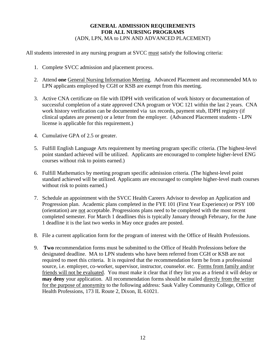# **GENERAL ADMISSION REQUIREMENTS FOR ALL NURSING PROGRAMS** (ADN, LPN, MA to LPN AND ADVANCED PLACEMENT)

<span id="page-11-0"></span>All students interested in any nursing program at SVCC must satisfy the following criteria:

- 1. Complete SVCC admission and placement process.
- 2. Attend **one** General Nursing Information Meeting. Advanced Placement and recommended MA to LPN applicants employed by CGH or KSB are exempt from this meeting.
- 3. Active CNA certificate on file with IDPH with verification of work history or documentation of successful completion of a state approved CNA program or VOC 121 within the last 2 years. CNA work history verification can be documented via tax records, payment stub, IDPH registry (if clinical updates are present) or a letter from the employer. (Advanced Placement students - LPN license is applicable for this requirement.)
- 4. Cumulative GPA of 2.5 or greater.
- 5. Fulfill English Language Arts requirement by meeting program specific criteria. (The highest-level point standard achieved will be utilized. Applicants are encouraged to complete higher-level ENG courses without risk to points earned.)
- 6. Fulfill Mathematics by meeting program specific admission criteria. (The highest-level point standard achieved will be utilized. Applicants are encouraged to complete higher-level math courses without risk to points earned.)
- 7. Schedule an appointment with the SVCC Health Careers Advisor to develop an Application and Progression plan. Academic plans completed in the FYE 101 (First Year Experience) or PSY 100 (orientation) are not acceptable. Progressions plans need to be completed with the most recent completed semester. For March 1 deadlines this is typically January through February, for the June 1 deadline it is the last two weeks in May once grades are posted.
- 8. File a current application form for the program of interest with the Office of Health Professions.
- 9. **Two** recommendation forms must be submitted to the Office of Health Professions before the designated deadline. MA to LPN students who have been referred from CGH or KSB are not required to meet this criteria. It is required that the recommendation form be from a professional source, i.e. employer, co-worker, supervisor, instructor, counselor. etc. Forms from family and/or friends will not be evaluated. You must make it clear that if they list you as a friend it will delay or **may deny** your application. All recommendation forms should be mailed directly from the writer for the purpose of anonymity to the following address: Sauk Valley Community College, Office of Health Professions, 173 IL Route 2, Dixon, IL 61021.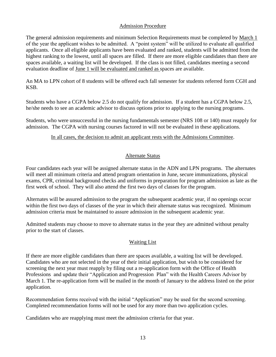#### Admission Procedure

<span id="page-12-0"></span>The general admission requirements and minimum Selection Requirements must be completed by March 1 of the year the applicant wishes to be admitted. A "point system" will be utilized to evaluate all qualified applicants. Once all eligible applicants have been evaluated and ranked, students will be admitted from the highest ranking to the lowest, until all spaces are filled. If there are more eligible candidates than there are spaces available, a waiting list will be developed. If the class is not filled, candidates meeting a second evaluation deadline of June 1 will be evaluated and ranked as spaces are available.

An MA to LPN cohort of 8 students will be offered each fall semester for students referred form CGH and KSB.

Students who have a CGPA below 2.5 do not qualify for admission. If a student has a CGPA below 2.5, he/she needs to see an academic advisor to discuss options prior to applying to the nursing programs.

Students, who were unsuccessful in the nursing fundamentals semester (NRS 108 or 140) must reapply for admission. The CGPA with nursing courses factored in will not be evaluated in these applications.

#### In all cases, the decision to admit an applicant rests with the Admissions Committee.

### Alternate Status

Four candidates each year will be assigned alternate status in the ADN and LPN programs. The alternates will meet all minimum criteria and attend program orientation in June, secure immunizations, physical exams, CPR, criminal background checks and uniforms in preparation for program admission as late as the first week of school. They will also attend the first two days of classes for the program.

Alternates will be assured admission to the program the subsequent academic year, if no openings occur within the first two days of classes of the year in which their alternate status was recognized. Minimum admission criteria must be maintained to assure admission in the subsequent academic year.

<span id="page-12-1"></span>Admitted students may choose to move to alternate status in the year they are admitted without penalty prior to the start of classes.

### Waiting List

If there are more eligible candidates than there are spaces available, a waiting list will be developed. Candidates who are not selected in the year of their initial application, but wish to be considered for screening the next year must reapply by filing out a re-application form with the Office of Health Professions and update their "Application and Progression Plan" with the Health Careers Advisor by March 1. The re-application form will be mailed in the month of January to the address listed on the prior application.

Recommendation forms received with the initial "Application" may be used for the second screening. Completed recommendation forms will not be used for any more than two application cycles.

Candidates who are reapplying must meet the admission criteria for that year.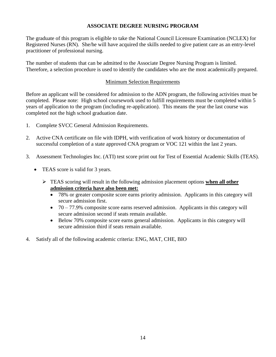# **ASSOCIATE DEGREE NURSING PROGRAM**

<span id="page-13-0"></span>The graduate of this program is eligible to take the National Council Licensure Examination (NCLEX) for Registered Nurses (RN). She/he will have acquired the skills needed to give patient care as an entry-level practitioner of professional nursing.

The number of students that can be admitted to the Associate Degree Nursing Program is limited. Therefore, a selection procedure is used to identify the candidates who are the most academically prepared.

#### Minimum Selection Requirements

<span id="page-13-1"></span>Before an applicant will be considered for admission to the ADN program, the following activities must be completed. Please note: High school coursework used to fulfill requirements must be completed within 5 years of application to the program (including re-application). This means the year the last course was completed not the high school graduation date.

- 1. Complete SVCC General Admission Requirements.
- 2. Active CNA certificate on file with IDPH, with verification of work history or documentation of successful completion of a state approved CNA program or VOC 121 within the last 2 years.
- 3. Assessment Technologies Inc. (ATI) test score print out for Test of Essential Academic Skills (TEAS).
	- TEAS score is valid for 3 years.
		- TEAS scoring will result in the following admission placement options **when all other admission criteria have also been met:**
			- 78% or greater composite score earns priority admission. Applicants in this category will secure admission first.
			- $\bullet$  70 77.9% composite score earns reserved admission. Applicants in this category will secure admission second if seats remain available.
			- Below 70% composite score earns general admission. Applicants in this category will secure admission third if seats remain available.
- 4. Satisfy all of the following academic criteria: ENG, MAT, CHE, BIO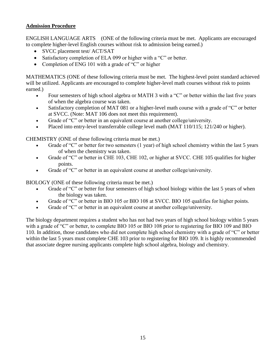# <span id="page-14-0"></span>**Admission Procedure**

ENGLISH LANGUAGE ARTS (ONE of the following criteria must be met. Applicants are encouraged to complete higher-level English courses without risk to admission being earned.)

- SVCC placement test/ ACT/SAT
- Satisfactory completion of ELA 099 or higher with a "C" or better.
- Completion of ENG 101 with a grade of "C" or higher

MATHEMATICS (ONE of these following criteria must be met. The highest-level point standard achieved will be utilized. Applicants are encouraged to complete higher-level math courses without risk to points earned.)

- Four semesters of high school algebra or MATH 3 with a "C" or better within the last five years of when the algebra course was taken.
- Satisfactory completion of MAT 081 or a higher-level math course with a grade of "C" or better at SVCC. (Note: MAT 106 does not meet this requirement).
- Grade of "C" or better in an equivalent course at another college/university.
- Placed into entry-level transferrable college level math (MAT 110/115; 121/240 or higher).

CHEMISTRY (ONE of these following criteria must be met.)

- Grade of "C" or better for two semesters (1 year) of high school chemistry within the last 5 years of when the chemistry was taken.
- Grade of "C" or better in CHE 103, CHE 102, or higher at SVCC. CHE 105 qualifies for higher points.
- Grade of "C" or better in an equivalent course at another college/university.

BIOLOGY (ONE of these following criteria must be met.)

- Grade of "C" or better for four semesters of high school biology within the last 5 years of when the biology was taken.
- Grade of "C" or better in BIO 105 or BIO 108 at SVCC. BIO 105 qualifies for higher points.
- Grade of "C" or better in an equivalent course at another college/university.

The biology department requires a student who has not had two years of high school biology within 5 years with a grade of "C" or better, to complete BIO 105 or BIO 108 prior to registering for BIO 109 and BIO 110. In addition, those candidates who did not complete high school chemistry with a grade of "C" or better within the last 5 years must complete CHE 103 prior to registering for BIO 109. It is highly recommended that associate degree nursing applicants complete high school algebra, biology and chemistry.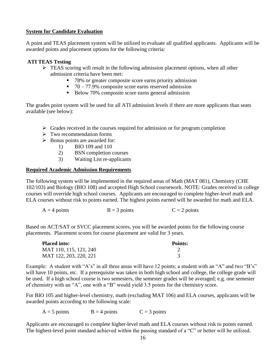# <span id="page-15-0"></span>**System for Candidate Evaluation**

A point and TEAS placement system will be utilized to evaluate all qualified applicants. Applicants will be awarded points and placement options for the following criteria:

# **ATI TEAS Testing**

- $\triangleright$  TEAS scoring will result in the following admission placement options, when all other admission criteria have been met:
	- 78% or greater composite score earns priority admission
	- $\blacksquare$  70 77.9% composite score earns reserved admission
	- Below 70% composite score earns general admission

The grades point system will be used for all ATI admission levels if there are more applicants than seats available (see below):

- $\triangleright$  Grades received in the courses required for admission or for program completion
- $\triangleright$  Two recommendation forms
- $\triangleright$  Bonus points are awarded for:
	- 1) BIO 109 and 110
	- 2) BSN completion courses
	- 3) Waiting List re-applicants

# <span id="page-15-1"></span>**Required Academic Admission Requirements**

The following system will be implemented in the required areas of Math (MAT 081), Chemistry (CHE 102/103) and Biology (BIO 108) and accepted High School coursework. NOTE: Grades received in college courses will override high school courses. Applicants are encouraged to complete higher-level math and ELA courses without risk to points earned. The highest points earned will be awarded for math and ELA.

```
A = 4 points B = 3 points C = 2 points
```
Based on ACT/SAT or SVCC placement scores, you will be awarded points for the following course placements. Placement scores for course placement are valid for 3 years.

| <b>Placed into:</b>    | Points: |
|------------------------|---------|
| MAT 110, 115, 121, 240 |         |
| MAT 122, 203, 220, 221 |         |

Example: A student with "A's" in all three areas will have 12 points; a student with an "A" and two "B's" will have 10 points, etc. If a prerequisite was taken in both high school and college, the college grade will be used. If a high school course is two semesters, the semester grades will be averaged; e.g. one semester of chemistry with an "A", one with a "B" would yield 3.5 points for the chemistry score.

For BIO 105 and higher-level chemistry, math (excluding MAT 106) and ELA courses, applicants will be awarded points according to the following scale:

 $A = 5$  points  $B = 4$  points  $C = 3$  points

Applicants are encouraged to complete higher-level math and ELA courses without risk to points earned. The highest-level point standard achieved within the passing standard of a "C" or better will be utilized.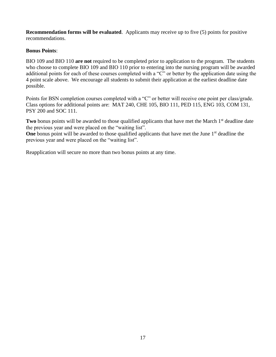**Recommendation forms will be evaluated**. Applicants may receive up to five (5) points for positive recommendations.

### **Bonus Points**:

BIO 109 and BIO 110 **are not** required to be completed prior to application to the program. The students who choose to complete BIO 109 and BIO 110 prior to entering into the nursing program will be awarded additional points for each of these courses completed with a "C" or better by the application date using the 4 point scale above. We encourage all students to submit their application at the earliest deadline date possible.

Points for BSN completion courses completed with a "C" or better will receive one point per class/grade. Class options for additional points are: MAT 240, CHE 105, BIO 111, PED 115, ENG 103, COM 131, PSY 200 and SOC 111.

**Two** bonus points will be awarded to those qualified applicants that have met the March 1<sup>st</sup> deadline date the previous year and were placed on the "waiting list".

**One** bonus point will be awarded to those qualified applicants that have met the June 1<sup>st</sup> deadline the previous year and were placed on the "waiting list".

<span id="page-16-0"></span>Reapplication will secure no more than two bonus points at any time.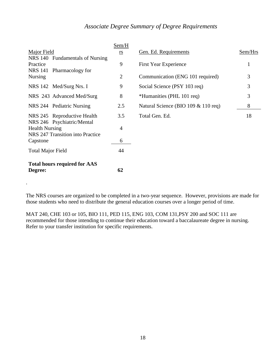# *Associate Degree Summary of Degree Requirements*

|                                                                                   | Sem/H                        |                                     |              |
|-----------------------------------------------------------------------------------|------------------------------|-------------------------------------|--------------|
| Major Field                                                                       | $\underline{r}\underline{s}$ | Gen. Ed. Requirements               | Sem/Hrs      |
| NRS 140 Fundamentals of Nursing<br>Practice<br><b>NRS</b> 141<br>Pharmacology for | 9                            | <b>First Year Experience</b>        | $\mathbf{1}$ |
| <b>Nursing</b>                                                                    | $\overline{2}$               | Communication (ENG 101 required)    | 3            |
| NRS 142 Med/Surg Nrs. I                                                           | 9                            | Social Science (PSY 103 req)        | 3            |
| NRS 243 Advanced Med/Surg                                                         | 8                            | *Humanities (PHL 101 req)           | 3            |
| NRS 244 Pediatric Nursing                                                         | 2.5                          | Natural Science (BIO 109 & 110 req) | 8            |
| NRS 245 Reproductive Health<br>NRS 246 Psychiatric/Mental                         | 3.5                          | Total Gen. Ed.                      | 18           |
| <b>Health Nursing</b>                                                             | 4                            |                                     |              |
| NRS 247 Transition into Practice<br>Capstone                                      | 6                            |                                     |              |
| <b>Total Major Field</b>                                                          | 44                           |                                     |              |
| <b>Total hours required for AAS</b>                                               |                              |                                     |              |
| Degree:                                                                           | 62                           |                                     |              |

The NRS courses are organized to be completed in a two-year sequence. However, provisions are made for those students who need to distribute the general education courses over a longer period of time.

MAT 240, CHE 103 or 105, BIO 111, PED 115, ENG 103, COM 131,PSY 200 and SOC 111 are recommended for those intending to continue their education toward a baccalaureate degree in nursing. Refer to your transfer institution for specific requirements.

.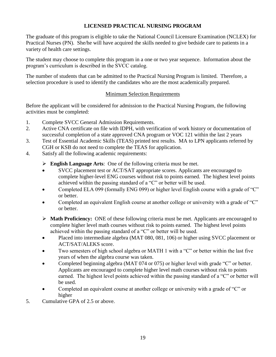# **LICENSED PRACTICAL NURSING PROGRAM**

<span id="page-18-0"></span>The graduate of this program is eligible to take the National Council Licensure Examination (NCLEX) for Practical Nurses (PN). She/he will have acquired the skills needed to give bedside care to patients in a variety of health care settings.

The student may choose to complete this program in a one or two year sequence. Information about the program's curriculum is described in the SVCC catalog.

<span id="page-18-1"></span>The number of students that can be admitted to the Practical Nursing Program is limited. Therefore, a selection procedure is used to identify the candidates who are the most academically prepared.

### Minimum Selection Requirements

Before the applicant will be considered for admission to the Practical Nursing Program, the following activities must be completed:

- 1. Complete SVCC General Admission Requirements.
- 2. Active CNA certificate on file with IDPH, with verification of work history or documentation of successful completion of a state approved CNA program or VOC 121 within the last 2 years
- 3. Test of Essential Academic Skills (TEAS) printed test results. MA to LPN applicants referred by CGH or KSB do not need to complete the TEAS for application.
- 4. Satisfy all the following academic requirements:
	- **English Language Arts**: One of the following criteria must be met.
	- SVCC placement test or ACT/SAT appropriate scores. Applicants are encouraged to complete higher-level ENG courses without risk to points earned. The highest level points achieved within the passing standard of a "C" or better will be used.
	- Completed ELA 099 (formally ENG 099) or higher level English course with a grade of "C" or better.
	- Completed an equivalent English course at another college or university with a grade of "C" or better.
	- **Math Proficiency:** ONE of these following criteria must be met. Applicants are encouraged to complete higher level math courses without risk to points earned. The highest level points achieved within the passing standard of a "C" or better will be used.
	- Placed into intermediate algebra (MAT 080, 081, 106) or higher using SVCC placement or ACT/SAT/ALEKS score.
	- Two semesters of high school algebra or MATH 1 with a "C" or better within the last five years of when the algebra course was taken.
	- Completed beginning algebra (MAT 074 or 075) or higher level with grade "C" or better. Applicants are encouraged to complete higher level math courses without risk to points earned. The highest level points achieved within the passing standard of a "C" or better will be used.
	- Completed an equivalent course at another college or university with a grade of "C" or higher
- 5. Cumulative GPA of 2.5 or above.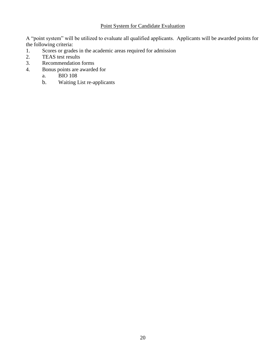# Point System for Candidate Evaluation

A "point system" will be utilized to evaluate all qualified applicants. Applicants will be awarded points for the following criteria:

- 1. Scores or grades in the academic areas required for admission
- 2. TEAS test results
- 3. Recommendation forms
- 4. Bonus points are awarded for
	- a. BIO 108
	- b. Waiting List re-applicants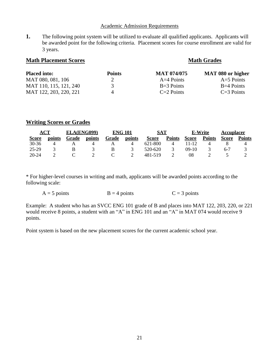#### Academic Admission Requirements

<span id="page-20-0"></span>**1.** The following point system will be utilized to evaluate all qualified applicants. Applicants will be awarded point for the following criteria. Placement scores for course enrollment are valid for 3 years.

| <b>Placed into:</b>    | <b>Points</b> | <b>MAT 074/075</b> | <b>MAT 080 or higher</b> |
|------------------------|---------------|--------------------|--------------------------|
| MAT 080, 081, 106      |               | $A=4$ Points       | $A=5$ Points             |
| MAT 110, 115, 121, 240 | $\mathcal{R}$ | $B=3$ Points       | $B=4$ Points             |
| MAT 122, 203, 220, 221 | $\Delta$      | $C=2$ Points       | $C=3$ Points             |

**Math Placement Scores Math Grades Math Grades** 

# **Writing Scores or Grades**

| ACT          |        | ELA(ENG099) |        | <b>ENG 101</b> |        | SAT          |               |              | E-Write       | <b>Accuplacer</b> |               |
|--------------|--------|-------------|--------|----------------|--------|--------------|---------------|--------------|---------------|-------------------|---------------|
| <b>Score</b> | points | Grade       | points | Grade          | points | <b>Score</b> | <b>Points</b> | <b>Score</b> | <b>Points</b> | <b>Score</b>      | <b>Points</b> |
| $30 - 36$    |        |             |        |                | 4      | 621-800      | 4             | 11-12        |               |                   |               |
| 25-29        |        |             |        | В              |        | 520-620      |               | 09-10        |               | $6 - 7$           |               |
| $20 - 24$    |        |             |        |                |        | 481-519      |               | 08           |               |                   |               |

\* For higher-level courses in writing and math, applicants will be awarded points according to the following scale:

| $A = 5$ points | $B = 4$ points | $C = 3$ points |
|----------------|----------------|----------------|
|                |                |                |

Example: A student who has an SVCC ENG 101 grade of B and places into MAT 122, 203, 220, or 221 would receive 8 points, a student with an "A" in ENG 101 and an "A" in MAT 074 would receive 9 points.

Point system is based on the new placement scores for the current academic school year.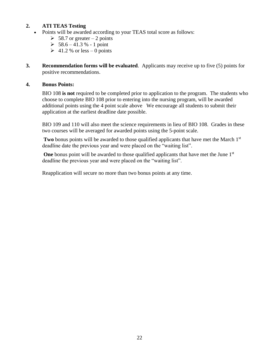# **2. ATI TEAS Testing**

- Points will be awarded according to your TEAS total score as follows:
	- $\geq 58.7$  or greater 2 points
	- $> 58.6 41.3 % 1 point$
	- $\geq 41.2$  % or less 0 points
- **3. Recommendation forms will be evaluated**. Applicants may receive up to five (5) points for positive recommendations.

#### **4. Bonus Points:**

BIO 108 **is not** required to be completed prior to application to the program. The students who choose to complete BIO 108 prior to entering into the nursing program, will be awarded additional points using the 4 point scale above We encourage all students to submit their application at the earliest deadline date possible.

BIO 109 and 110 will also meet the science requirements in lieu of BIO 108. Grades in these two courses will be averaged for awarded points using the 5-point scale.

**Two** bonus points will be awarded to those qualified applicants that have met the March 1<sup>st</sup> deadline date the previous year and were placed on the "waiting list".

**One** bonus point will be awarded to those qualified applicants that have met the June 1<sup>st</sup> deadline the previous year and were placed on the "waiting list".

Reapplication will secure no more than two bonus points at any time.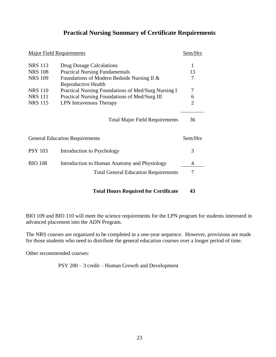# **Practical Nursing Summary of Certificate Requirements**

<span id="page-22-0"></span>

| <b>Major Field Requirements</b>            |                                                     |         |  |  |
|--------------------------------------------|-----------------------------------------------------|---------|--|--|
| <b>NRS 113</b><br>Drug Dosage Calculations |                                                     |         |  |  |
| <b>NRS 108</b>                             | <b>Practical Nursing Fundamentals</b>               | 13      |  |  |
| <b>NRS 109</b>                             | Foundations of Modern Bedside Nursing II &          | 7       |  |  |
|                                            | Reproductive Health                                 |         |  |  |
| <b>NRS</b> 110                             | Practical Nursing Foundations of Med/Surg Nursing I | 7       |  |  |
| <b>NRS 111</b>                             | Practical Nursing Foundations of Med/Surg III       | 6       |  |  |
| <b>NRS 115</b><br>LPN Intravenous Therapy  |                                                     |         |  |  |
|                                            | <b>Total Major Field Requirements</b>               | 36      |  |  |
|                                            | <b>General Education Requirements</b>               | Sem/Hrs |  |  |
| <b>PSY 103</b>                             | Introduction to Psychology                          | 3       |  |  |
| <b>BIO 108</b>                             | Introduction to Human Anatomy and Physiology        | 4       |  |  |
|                                            | <b>Total General Education Requirements</b>         |         |  |  |
|                                            |                                                     |         |  |  |

# **Total Hours Required for Certificate 43**

BIO 109 and BIO 110 will meet the science requirements for the LPN program for students interested in advanced placement into the ADN Program.

The NRS courses are organized to be completed in a one-year sequence. However, provisions are made for those students who need to distribute the general education courses over a longer period of time.

Other recommended courses:

PSY 200 – 3 credit – Human Growth and Development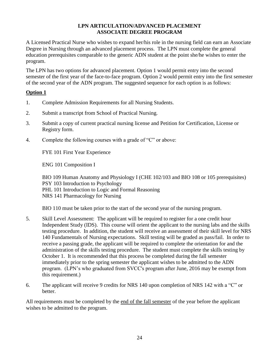#### **LPN ARTICULATION/ADVANCED PLACEMENT ASSOCIATE DEGREE PROGRAM**

<span id="page-23-0"></span>A Licensed Practical Nurse who wishes to expand her/his role in the nursing field can earn an Associate Degree in Nursing through an advanced placement process. The LPN must complete the general education prerequisites comparable to the generic ADN student at the point she/he wishes to enter the program.

The LPN has two options for advanced placement. Option 1 would permit entry into the second semester of the first year of the face-to-face program. Option 2 would permit entry into the first semester of the second year of the ADN program. The suggested sequence for each option is as follows:

# **Option 1**

- 1. Complete Admission Requirements for all Nursing Students.
- 2. Submit a transcript from School of Practical Nursing.
- 3. Submit a copy of current practical nursing license and Petition for Certification, License or Registry form.
- 4. Complete the following courses with a grade of "C" or above:

FYE 101 First Year Experience

ENG 101 Composition I

BIO 109 Human Anatomy and Physiology I (CHE 102/103 and BIO 108 or 105 prerequisites) PSY 103 Introduction to Psychology PHL 101 Introduction to Logic and Formal Reasoning NRS 141 Pharmacology for Nursing

BIO 110 must be taken prior to the start of the second year of the nursing program.

- 5. Skill Level Assessment: The applicant will be required to register for a one credit hour Independent Study (IDS). This course will orient the applicant to the nursing labs and the skills testing procedure. In addition, the student will receive an assessment of their skill level for NRS 140 Fundamentals of Nursing expectations. Skill testing will be graded as pass/fail. In order to receive a passing grade, the applicant will be required to complete the orientation for and the administration of the skills testing procedure. The student must complete the skills testing by October 1. It is recommended that this process be completed during the fall semester immediately prior to the spring semester the applicant wishes to be admitted to the ADN program. (LPN's who graduated from SVCC's program after June, 2016 may be exempt from this requirement.)
- 6. The applicant will receive 9 credits for NRS 140 upon completion of NRS 142 with a "C" or better.

All requirements must be completed by the end of the fall semester of the year before the applicant wishes to be admitted to the program.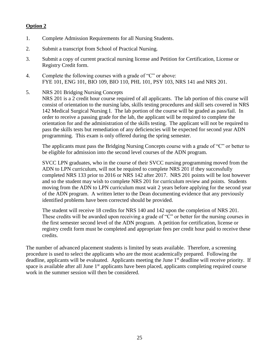# **Option 2**

- 1. Complete Admission Requirements for all Nursing Students.
- 2. Submit a transcript from School of Practical Nursing.
- 3. Submit a copy of current practical nursing license and Petition for Certification, License or Registry Credit form.
- 4. Complete the following courses with a grade of "C" or above: FYE 101, ENG 101, BIO 109, BIO 110, PHL 101, PSY 103, NRS 141 and NRS 201.
- 5. NRS 201 Bridging Nursing Concepts

NRS 201 is a 2 credit hour course required of all applicants. The lab portion of this course will consist of orientation to the nursing labs, skills testing procedures and skill sets covered in NRS 142 Medical Surgical Nursing I. The lab portion of the course will be graded as pass/fail. In order to receive a passing grade for the lab, the applicant will be required to complete the orientation for and the administration of the skills testing. The applicant will not be required to pass the skills tests but remediation of any deficiencies will be expected for second year ADN programming. This exam is only offered during the spring semester.

The applicants must pass the Bridging Nursing Concepts course with a grade of "C" or better to be eligible for admission into the second level courses of the ADN program.

SVCC LPN graduates, who in the course of their SVCC nursing programming moved from the ADN to LPN curriculum, will not be required to complete NRS 201 if they successfully completed NRS 133 prior to 2016 or NRS 142 after 2017. NRS 201 points will be lost however and so the student may wish to complete NRS 201 for curriculum review and points. Students moving from the ADN to LPN curriculum must wait 2 years before applying for the second year of the ADN program. A written letter to the Dean documenting evidence that any previously identified problems have been corrected should be provided.

The student will receive 18 credits for NRS 140 and 142 upon the completion of NRS 201. These credits will be awarded upon receiving a grade of "C" or better for the nursing courses in the first semester second level of the ADN program. A petition for certification, license or registry credit form must be completed and appropriate fees per credit hour paid to receive these credits.

The number of advanced placement students is limited by seats available. Therefore, a screening procedure is used to select the applicants who are the most academically prepared. Following the deadline, applicants will be evaluated. Applicants meeting the June 1<sup>st</sup> deadline will receive priority. If space is available after all June  $1<sup>st</sup>$  applicants have been placed, applicants completing required course work in the summer session will then be considered.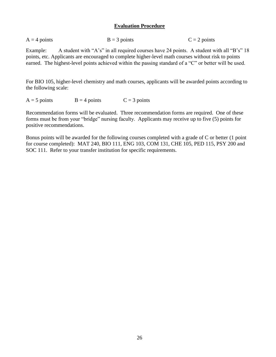#### **Evaluation Procedure**

<span id="page-25-0"></span>

| $A = 4$ points | $B = 3$ points | $C = 2$ points |
|----------------|----------------|----------------|
|----------------|----------------|----------------|

Example: A student with "A's" in all required courses have 24 points. A student with all "B's" 18 points, etc. Applicants are encouraged to complete higher-level math courses without risk to points earned. The highest-level points achieved within the passing standard of a "C" or better will be used.

For BIO 105, higher-level chemistry and math courses, applicants will be awarded points according to the following scale:

 $A = 5$  points  $B = 4$  points  $C = 3$  points

Recommendation forms will be evaluated. Three recommendation forms are required. One of these forms must be from your "bridge" nursing faculty. Applicants may receive up to five (5) points for positive recommendations.

Bonus points will be awarded for the following courses completed with a grade of C or better (1 point for course completed): MAT 240, BIO 111, ENG 103, COM 131, CHE 105, PED 115, PSY 200 and SOC 111. Refer to your transfer institution for specific requirements.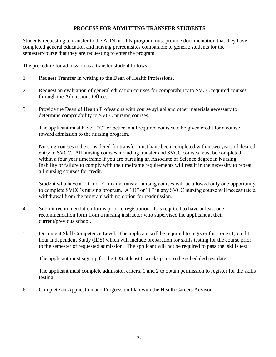# **PROCESS FOR ADMITTING TRANSFER STUDENTS**

<span id="page-26-0"></span>Students requesting to transfer to the ADN or LPN program must provide documentation that they have completed general education and nursing prerequisites comparable to generic students for the semester/course that they are requesting to enter the program.

The procedure for admission as a transfer student follows:

- 1. Request Transfer in writing to the Dean of Health Professions.
- 2. Request an evaluation of general education courses for comparability to SVCC required courses through the Admissions Office.
- 3. Provide the Dean of Health Professions with course syllabi and other materials necessary to determine comparability to SVCC nursing courses.

The applicant must have a "C" or better in all required courses to be given credit for a course toward admission to the nursing program.

Nursing courses to be considered for transfer must have been completed within two years of desired entry to SVCC. All nursing courses including transfer and SVCC courses must be completed within a four year timeframe if you are pursuing an Associate of Science degree in Nursing. Inability or failure to comply with the timeframe requirements will result in the necessity to repeat all nursing courses for credit.

Student who have a "D" or "F" in any transfer nursing courses will be allowed only one opportunity to complete SVCC's nursing program. A "D" or "F" in any SVCC nursing course will necessitate a withdrawal from the program with no option for readmission.

- 4. Submit recommendation forms prior to registration. It is required to have at least one recommendation form from a nursing instructor who supervised the applicant at their current/previous school.
- 5. Document Skill Competence Level. The applicant will be required to register for a one (1) credit hour Independent Study (IDS) which will include preparation for skills testing for the course prior to the semester of requested admission. The applicant will not be required to pass the skills test.

The applicant must sign up for the IDS at least 8 weeks prior to the scheduled test date.

The applicant must complete admission criteria 1 and 2 to obtain permission to register for the skills testing.

6. Complete an Application and Progression Plan with the Health Careers Advisor.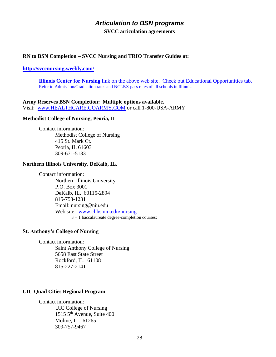# *Articulation to BSN programs*

**SVCC articulation agreements**

#### <span id="page-27-0"></span>**RN to BSN Completion – SVCC Nursing and TRIO Transfer Guides at:**

#### **<http://svccnursing.weebly.com/>**

**Illinois Center for Nursing** link on the above web site. Check out Educational Opportunities tab. Refer to Admission/Graduation rates and NCLEX pass rates of all schools in Illinois.

**Army Reserves BSN Completion: Multiple options available.**  Visit: [www.HEALTHCARE.GOARMY.COM](http://www.healthcare.goarmy.com/) or call 1-800-USA-ARMY

#### **Methodist College of Nursing, Peoria, IL**

Contact information: Methodist College of Nursing 415 St. Mark Ct. Peoria, IL 61603 309-671-5133

#### **Northern Illinois University, DeKalb, IL.**

Contact information: Northern Illinois University P.O. Box 3001 DeKalb, IL. 60115-2894 815-753-1231 Email: nursing@niu.edu Web site: [www.chhs.niu.edu/nursing](http://www.chhs.niu.edu/nursing) 3 + 1 baccalaureate degree-completion courses:

#### **St. Anthony's College of Nursing**

Contact information:

Saint Anthony College of Nursing 5658 East State Street Rockford, IL. 61108 815-227-2141

#### **UIC Quad Cities Regional Program**

Contact information: UIC College of Nursing 1515  $5<sup>th</sup>$  Avenue, Suite 400 Moline, IL. 61265 309-757-9467